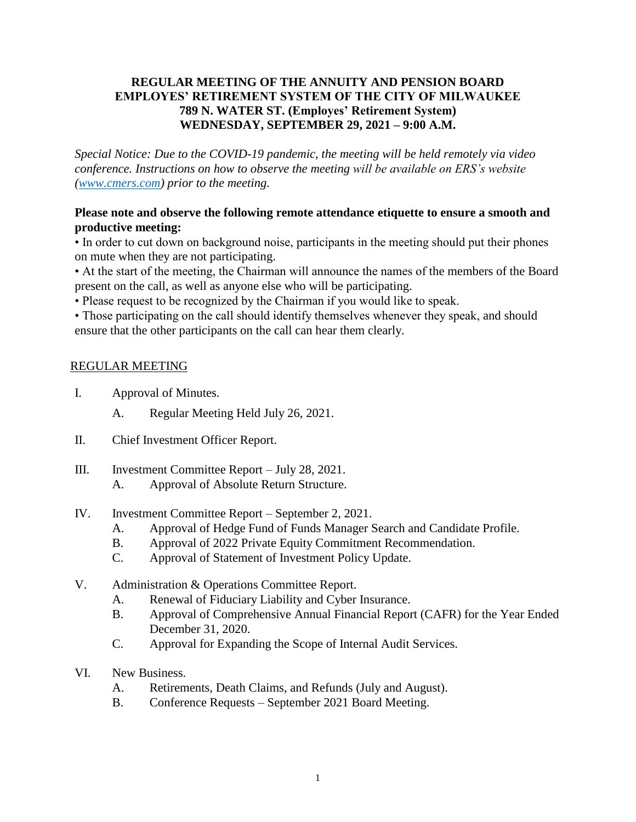## **REGULAR MEETING OF THE ANNUITY AND PENSION BOARD EMPLOYES' RETIREMENT SYSTEM OF THE CITY OF MILWAUKEE 789 N. WATER ST. (Employes' Retirement System) WEDNESDAY, SEPTEMBER 29, 2021 – 9:00 A.M.**

*Special Notice: Due to the COVID-19 pandemic, the meeting will be held remotely via video conference. Instructions on how to observe the meeting will be available on ERS's website [\(www.cmers.com\)](http://www.cmers.com/) prior to the meeting.*

## **Please note and observe the following remote attendance etiquette to ensure a smooth and productive meeting:**

• In order to cut down on background noise, participants in the meeting should put their phones on mute when they are not participating.

• At the start of the meeting, the Chairman will announce the names of the members of the Board present on the call, as well as anyone else who will be participating.

• Please request to be recognized by the Chairman if you would like to speak.

• Those participating on the call should identify themselves whenever they speak, and should ensure that the other participants on the call can hear them clearly.

## REGULAR MEETING

- I. Approval of Minutes.
	- A. Regular Meeting Held July 26, 2021.
- II. Chief Investment Officer Report.
- III. Investment Committee Report July 28, 2021.
	- A. Approval of Absolute Return Structure.
- IV. Investment Committee Report September 2, 2021.
	- A. Approval of Hedge Fund of Funds Manager Search and Candidate Profile.
	- B. Approval of 2022 Private Equity Commitment Recommendation.
	- C. Approval of Statement of Investment Policy Update.
- V. Administration & Operations Committee Report.
	- A. Renewal of Fiduciary Liability and Cyber Insurance.
	- B. Approval of Comprehensive Annual Financial Report (CAFR) for the Year Ended December 31, 2020.
	- C. Approval for Expanding the Scope of Internal Audit Services.
- VI. New Business.
	- A. Retirements, Death Claims, and Refunds (July and August).
	- B. Conference Requests September 2021 Board Meeting.